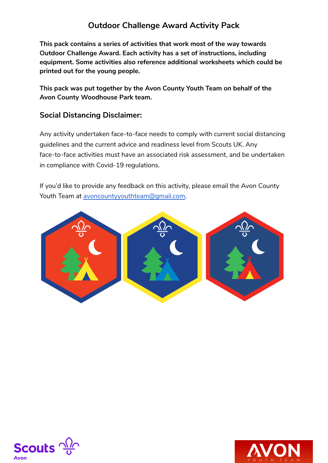**This pack contains a series of activities that work most of the way towards Outdoor Challenge Award. Each activity has a set of instructions, including equipment. Some activities also reference additional worksheets which could be printed out for the young people.**

**This pack was put together by the Avon County Youth Team on behalf of the Avon County Woodhouse Park team.**

#### **Social Distancing Disclaimer:**

Any activity undertaken face-to-face needs to comply with current social distancing guidelines and the current advice and readiness level from Scouts UK. Any face-to-face activities must have an associated risk assessment, and be undertaken in compliance with Covid-19 regulations.

If you'd like to provide any feedback on this activity, please email the Avon County Youth Team at [avoncountyyouthteam@gmail.com.](mailto:avoncountyyouthteam@gmail.com)





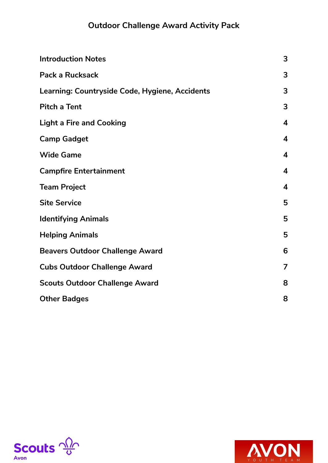| <b>Introduction Notes</b>                      | 3                       |
|------------------------------------------------|-------------------------|
| <b>Pack a Rucksack</b>                         | 3                       |
| Learning: Countryside Code, Hygiene, Accidents | 3                       |
| <b>Pitch a Tent</b>                            | 3                       |
| <b>Light a Fire and Cooking</b>                | $\overline{\mathbf{4}}$ |
| <b>Camp Gadget</b>                             | $\overline{\mathbf{4}}$ |
| <b>Wide Game</b>                               | $\overline{\mathbf{4}}$ |
| <b>Campfire Entertainment</b>                  | $\overline{\mathbf{4}}$ |
| <b>Team Project</b>                            | $\overline{\mathbf{4}}$ |
| <b>Site Service</b>                            | 5                       |
| <b>Identifying Animals</b>                     | 5                       |
| <b>Helping Animals</b>                         | 5                       |
| <b>Beavers Outdoor Challenge Award</b>         | 6                       |
| <b>Cubs Outdoor Challenge Award</b>            | $\overline{7}$          |
| <b>Scouts Outdoor Challenge Award</b>          | 8                       |
| <b>Other Badges</b>                            | 8                       |



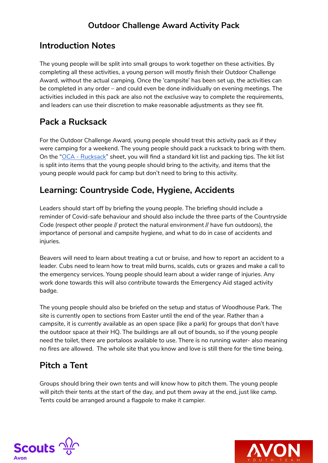### <span id="page-2-0"></span>**Introduction Notes**

The young people will be split into small groups to work together on these activities. By completing all these activities, a young person will mostly finish their Outdoor Challenge Award, without the actual camping. Once the 'campsite' has been set up, the activities can be completed in any order – and could even be done individually on evening meetings. The activities included in this pack are also not the exclusive way to complete the requirements, and leaders can use their discretion to make reasonable adjustments as they see fit.

### <span id="page-2-1"></span>**Pack a Rucksack**

For the Outdoor Challenge Award, young people should treat this activity pack as if they were camping for a weekend. The young people should pack a rucksack to bring with them. On the "OCA - [Rucksack"](https://drive.google.com/open?id=1qpubBvh4w4CQyZpzVOFK6WP7ZzkJVNho) sheet, you will find a standard kit list and packing tips. The kit list is split into items that the young people should bring to the activity, and items that the young people would pack for camp but don't need to bring to this activity.

### <span id="page-2-2"></span>**Learning: Countryside Code, Hygiene, Accidents**

Leaders should start off by briefing the young people. The briefing should include a reminder of Covid-safe behaviour and should also include the three parts of the Countryside Code (respect other people // protect the natural environment // have fun outdoors), the importance of personal and campsite hygiene, and what to do in case of accidents and injuries.

Beavers will need to learn about treating a cut or bruise, and how to report an accident to a leader. Cubs need to learn how to treat mild burns, scalds, cuts or grazes and make a call to the emergency services. Young people should learn about a wider range of injuries. Any work done towards this will also contribute towards the Emergency Aid staged activity badge.

The young people should also be briefed on the setup and status of Woodhouse Park. The site is currently open to sections from Easter until the end of the year. Rather than a campsite, it is currently available as an open space (like a park) for groups that don't have the outdoor space at their HQ. The buildings are all out of bounds, so if the young people need the toilet, there are portaloos available to use. There is no running water- also meaning no fires are allowed. The whole site that you know and love is still there for the time being.

# <span id="page-2-3"></span>**Pitch a Tent**

Groups should bring their own tents and will know how to pitch them. The young people will pitch their tents at the start of the day, and put them away at the end, just like camp. Tents could be arranged around a flagpole to make it campier.



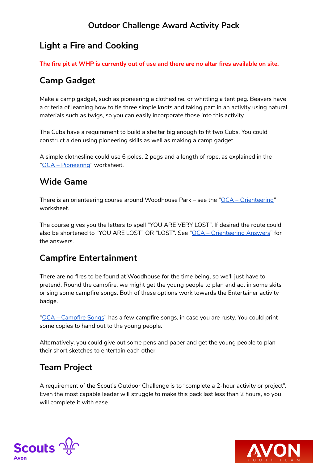## <span id="page-3-0"></span>**Light a Fire and Cooking**

**The fire pit at WHP is currently out of use and there are no altar fires available on site.**

## <span id="page-3-1"></span>**Camp Gadget**

Make a camp gadget, such as pioneering a clothesline, or whittling a tent peg. Beavers have a criteria of learning how to tie three simple knots and taking part in an activity using natural materials such as twigs, so you can easily incorporate those into this activity.

The Cubs have a requirement to build a shelter big enough to fit two Cubs. You could construct a den using pioneering skills as well as making a camp gadget.

A simple clothesline could use 6 poles, 2 pegs and a length of rope, as explained in the "OCA – [Pioneering"](https://drive.google.com/open?id=1X2lVxBISsU-x4krHwUnq9srnKfvONq7r) worksheet.

### <span id="page-3-2"></span>**Wide Game**

There is an orienteering course around Woodhouse Park – see the "OCA – [Orienteering"](https://drive.google.com/open?id=1H0peMvsEB5qvZWOUMl7NDB4pXeFUOEEQ) worksheet.

The course gives you the letters to spell "YOU ARE VERY LOST". If desired the route could also be shortened to "YOU ARE LOST" OR "LOST". See "OCA - [Orienteering](https://drive.google.com/open?id=1KuItOrEnksuzpCkrI6F2jTAEDgz533Kl) Answers" for the answers.

## <span id="page-3-3"></span>**Campfire Entertainment**

There are no fires to be found at Woodhouse for the time being, so we'll just have to pretend. Round the campfire, we might get the young people to plan and act in some skits or sing some campfire songs. Both of these options work towards the Entertainer activity badge.

"OCA – [Campfire](https://drive.google.com/open?id=1mahk-Nk_d8gsoyw58zFjfocjKsAAFrjj) Songs" has a few campfire songs, in case you are rusty. You could print some copies to hand out to the young people.

Alternatively, you could give out some pens and paper and get the young people to plan their short sketches to entertain each other.

#### <span id="page-3-4"></span>**Team Project**

A requirement of the Scout's Outdoor Challenge is to "complete a 2-hour activity or project". Even the most capable leader will struggle to make this pack last less than 2 hours, so you will complete it with ease.



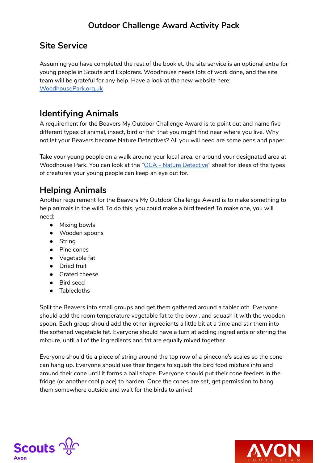#### <span id="page-4-0"></span>**Site Service**

Assuming you have completed the rest of the booklet, the site service is an optional extra for young people in Scouts and Explorers. Woodhouse needs lots of work done, and the site team will be grateful for any help. Have a look at the new website here: [WoodhousePark.org.uk](http://woodhousepark.org.uk/)

## <span id="page-4-1"></span>**Identifying Animals**

A requirement for the Beavers My Outdoor Challenge Award is to point out and name five different types of animal, insect, bird or fish that you might find near where you live. Why not let your Beavers become Nature Detectives? All you will need are some pens and paper.

Take your young people on a walk around your local area, or around your designated area at Woodhouse Park. You can look at the "OCA - Nature [Detective](https://drive.google.com/open?id=11ASdPCkMwndWPvWDjAOG9X9we8ZdRucC)" sheet for ideas of the types of creatures your young people can keep an eye out for.

## <span id="page-4-2"></span>**Helping Animals**

Another requirement for the Beavers My Outdoor Challenge Award is to make something to help animals in the wild. To do this, you could make a bird feeder! To make one, you will need:

- Mixing bowls
- Wooden spoons
- String
- Pine cones
- Vegetable fat
- Dried fruit
- Grated cheese
- Bird seed
- Tablecloths

Split the Beavers into small groups and get them gathered around a tablecloth. Everyone should add the room temperature vegetable fat to the bowl, and squash it with the wooden spoon. Each group should add the other ingredients a little bit at a time and stir them into the softened vegetable fat. Everyone should have a turn at adding ingredients or stirring the mixture, until all of the ingredients and fat are equally mixed together.

Everyone should tie a piece of string around the top row of a pinecone's scales so the cone can hang up. Everyone should use their fingers to squish the bird food mixture into and around their cone until it forms a ball shape. Everyone should put their cone feeders in the fridge (or another cool place) to harden. Once the cones are set, get permission to hang them somewhere outside and wait for the birds to arrive!



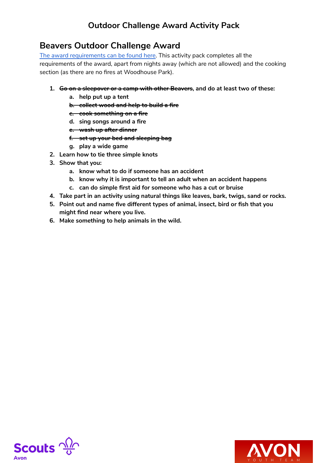#### <span id="page-5-0"></span>**Beavers Outdoor Challenge Award**

The award [requirements](https://www.scouts.org.uk/beavers/awards/my-outdoors/) can be found here. This activity pack completes all the requirements of the award, apart from nights away (which are not allowed) and the cooking section (as there are no fires at Woodhouse Park).

#### **1. Go on a sleepover or a camp with other Beavers, and do at least two of these:**

- **a. help put up a tent**
- **b. collect wood and help to build a fire**
- **c. cook something on a fire**
- **d. sing songs around a fire**
- **e. wash up after dinner**
- **f. set up your bed and sleeping bag**
- **g. play a wide game**
- **2. Learn how to tie three simple knots**
- **3. Show that you:**
	- **a. know what to do if someone has an accident**
	- **b. know why it is important to tell an adult when an accident happens**
	- **c. can do simple first aid for someone who has a cut or bruise**
- **4. Take part in an activity using natural things like leaves, bark, twigs, sand or rocks.**
- **5. Point out and name five different types of animal, insect, bird or fish that you might find near where you live.**
- **6. Make something to help animals in the wild.**



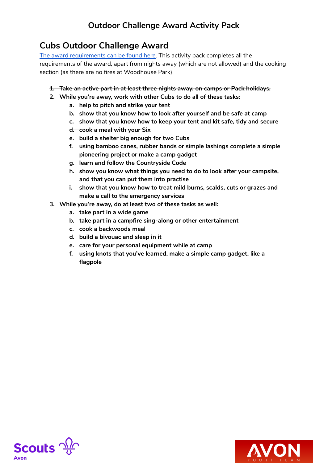#### <span id="page-6-0"></span>**Cubs Outdoor Challenge Award**

The award [requirements](https://www.scouts.org.uk/cubs/awards/our-outdoors/) can be found here. This activity pack completes all the requirements of the award, apart from nights away (which are not allowed) and the cooking section (as there are no fires at Woodhouse Park).

#### **1. Take an active part in at least three nights away, on camps or Pack holidays.**

- **2. While you're away, work with other Cubs to do all of these tasks:**
	- **a. help to pitch and strike your tent**
	- **b. show that you know how to look after yourself and be safe at camp**
	- **c. show that you know how to keep your tent and kit safe, tidy and secure**
	- **d. cook a meal with your Six**
	- **e. build a shelter big enough for two Cubs**
	- **f. using bamboo canes, rubber bands or simple lashings complete a simple pioneering project or make a camp gadget**
	- **g. learn and follow the Countryside Code**
	- **h. show you know what things you need to do to look after your campsite, and that you can put them into practise**
	- **i. show that you know how to treat mild burns, scalds, cuts or grazes and make a call to the emergency services**
- **3. While you're away, do at least two of these tasks as well:**
	- **a. take part in a wide game**
	- **b. take part in a campfire sing-along or other entertainment**
	- **c. cook a backwoods meal**
	- **d. build a bivouac and sleep in it**
	- **e. care for your personal equipment while at camp**
	- **f. using knots that you've learned, make a simple camp gadget, like a flagpole**